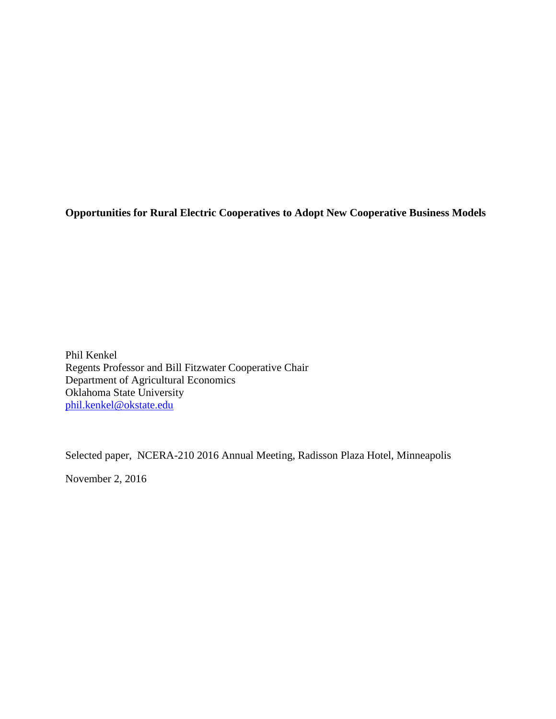**Opportunities for Rural Electric Cooperatives to Adopt New Cooperative Business Models**

Phil Kenkel Regents Professor and Bill Fitzwater Cooperative Chair Department of Agricultural Economics Oklahoma State University [phil.kenkel@okstate.edu](mailto:phil.kenkel@okstate.edu)

Selected paper, NCERA-210 2016 Annual Meeting, Radisson Plaza Hotel, Minneapolis

November 2, 2016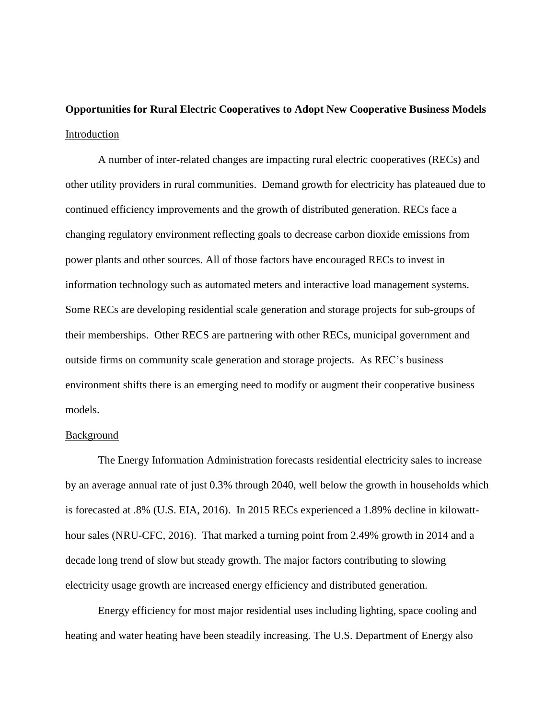**Opportunities for Rural Electric Cooperatives to Adopt New Cooperative Business Models** Introduction

A number of inter-related changes are impacting rural electric cooperatives (RECs) and other utility providers in rural communities. Demand growth for electricity has plateaued due to continued efficiency improvements and the growth of distributed generation. RECs face a changing regulatory environment reflecting goals to decrease carbon dioxide emissions from power plants and other sources. All of those factors have encouraged RECs to invest in information technology such as automated meters and interactive load management systems. Some RECs are developing residential scale generation and storage projects for sub-groups of their memberships. Other RECS are partnering with other RECs, municipal government and outside firms on community scale generation and storage projects. As REC's business environment shifts there is an emerging need to modify or augment their cooperative business models.

## Background

The Energy Information Administration forecasts residential electricity sales to increase by an average annual rate of just 0.3% through 2040, well below the growth in households which is forecasted at .8% (U.S. EIA, 2016). In 2015 RECs experienced a 1.89% decline in kilowatthour sales (NRU-CFC, 2016). That marked a turning point from 2.49% growth in 2014 and a decade long trend of slow but steady growth. The major factors contributing to slowing electricity usage growth are increased energy efficiency and distributed generation.

Energy efficiency for most major residential uses including lighting, space cooling and heating and water heating have been steadily increasing. The U.S. Department of Energy also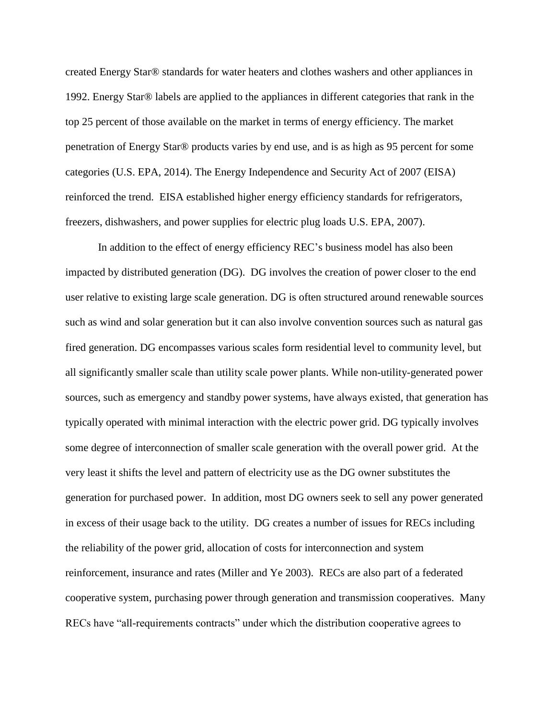created Energy Star® standards for water heaters and clothes washers and other appliances in 1992. Energy Star® labels are applied to the appliances in different categories that rank in the top 25 percent of those available on the market in terms of energy efficiency. The market penetration of Energy Star® products varies by end use, and is as high as 95 percent for some categories (U.S. EPA, 2014). The Energy Independence and Security Act of 2007 (EISA) reinforced the trend. EISA established higher energy efficiency standards for refrigerators, freezers, dishwashers, and power supplies for electric plug loads U.S. EPA, 2007).

In addition to the effect of energy efficiency REC's business model has also been impacted by distributed generation (DG). DG involves the creation of power closer to the end user relative to existing large scale generation. DG is often structured around renewable sources such as wind and solar generation but it can also involve convention sources such as natural gas fired generation. DG encompasses various scales form residential level to community level, but all significantly smaller scale than utility scale power plants. While non-utility-generated power sources, such as emergency and standby power systems, have always existed, that generation has typically operated with minimal interaction with the electric power grid. DG typically involves some degree of interconnection of smaller scale generation with the overall power grid. At the very least it shifts the level and pattern of electricity use as the DG owner substitutes the generation for purchased power. In addition, most DG owners seek to sell any power generated in excess of their usage back to the utility. DG creates a number of issues for RECs including the reliability of the power grid, allocation of costs for interconnection and system reinforcement, insurance and rates (Miller and Ye 2003). RECs are also part of a federated cooperative system, purchasing power through generation and transmission cooperatives. Many RECs have "all-requirements contracts" under which the distribution cooperative agrees to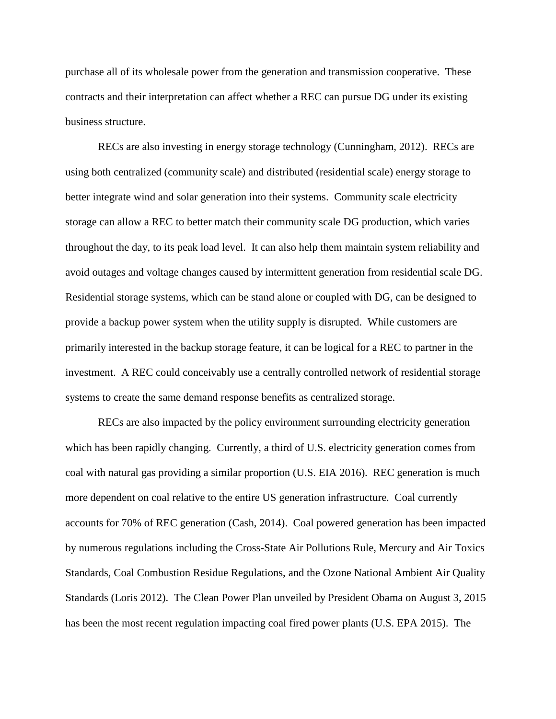purchase all of its wholesale power from the generation and transmission cooperative. These contracts and their interpretation can affect whether a REC can pursue DG under its existing business structure.

RECs are also investing in energy storage technology (Cunningham, 2012). RECs are using both centralized (community scale) and distributed (residential scale) energy storage to better integrate wind and solar generation into their systems. Community scale electricity storage can allow a REC to better match their community scale DG production, which varies throughout the day, to its peak load level. It can also help them maintain system reliability and avoid outages and voltage changes caused by intermittent generation from residential scale DG. Residential storage systems, which can be stand alone or coupled with DG, can be designed to provide a backup power system when the utility supply is disrupted. While customers are primarily interested in the backup storage feature, it can be logical for a REC to partner in the investment. A REC could conceivably use a centrally controlled network of residential storage systems to create the same demand response benefits as centralized storage.

RECs are also impacted by the policy environment surrounding electricity generation which has been rapidly changing. Currently, a third of U.S. electricity generation comes from coal with natural gas providing a similar proportion (U.S. EIA 2016). REC generation is much more dependent on coal relative to the entire US generation infrastructure. Coal currently accounts for 70% of REC generation (Cash, 2014). Coal powered generation has been impacted by numerous regulations including the Cross-State Air Pollutions Rule, Mercury and Air Toxics Standards, Coal Combustion Residue Regulations, and the Ozone National Ambient Air Quality Standards (Loris 2012). The Clean Power Plan unveiled by President Obama on August 3, 2015 has been the most recent regulation impacting coal fired power plants (U.S. EPA 2015). The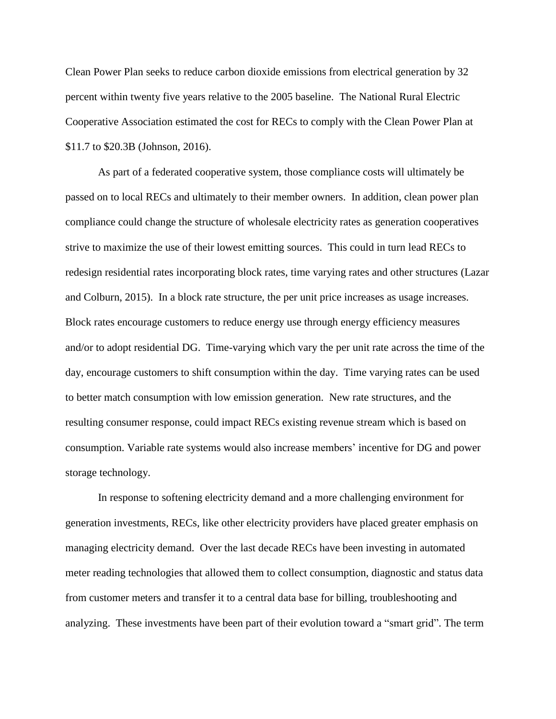Clean Power Plan seeks to reduce carbon dioxide emissions from electrical generation by 32 percent within twenty five years relative to the 2005 baseline. The National Rural Electric Cooperative Association estimated the cost for RECs to comply with the Clean Power Plan at \$11.7 to \$20.3B (Johnson, 2016).

As part of a federated cooperative system, those compliance costs will ultimately be passed on to local RECs and ultimately to their member owners. In addition, clean power plan compliance could change the structure of wholesale electricity rates as generation cooperatives strive to maximize the use of their lowest emitting sources. This could in turn lead RECs to redesign residential rates incorporating block rates, time varying rates and other structures (Lazar and Colburn, 2015). In a block rate structure, the per unit price increases as usage increases. Block rates encourage customers to reduce energy use through energy efficiency measures and/or to adopt residential DG. Time-varying which vary the per unit rate across the time of the day, encourage customers to shift consumption within the day. Time varying rates can be used to better match consumption with low emission generation. New rate structures, and the resulting consumer response, could impact RECs existing revenue stream which is based on consumption. Variable rate systems would also increase members' incentive for DG and power storage technology.

In response to softening electricity demand and a more challenging environment for generation investments, RECs, like other electricity providers have placed greater emphasis on managing electricity demand. Over the last decade RECs have been investing in automated meter reading technologies that allowed them to collect consumption, diagnostic and status data from customer meters and transfer it to a central data base for billing, troubleshooting and analyzing. These investments have been part of their evolution toward a "smart grid". The term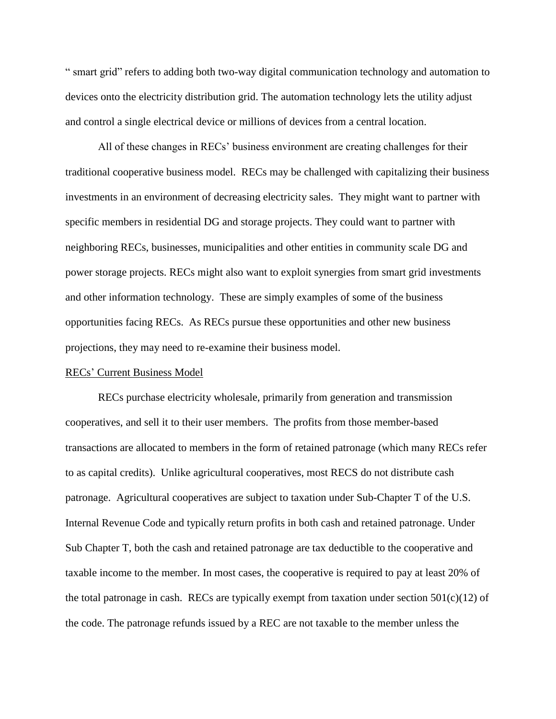" smart grid" refers to adding both two-way digital communication technology and automation to devices onto the electricity distribution grid. The automation technology lets the utility adjust and control a single electrical device or millions of devices from a central location.

All of these changes in RECs' business environment are creating challenges for their traditional cooperative business model. RECs may be challenged with capitalizing their business investments in an environment of decreasing electricity sales. They might want to partner with specific members in residential DG and storage projects. They could want to partner with neighboring RECs, businesses, municipalities and other entities in community scale DG and power storage projects. RECs might also want to exploit synergies from smart grid investments and other information technology. These are simply examples of some of the business opportunities facing RECs. As RECs pursue these opportunities and other new business projections, they may need to re-examine their business model.

## RECs' Current Business Model

RECs purchase electricity wholesale, primarily from generation and transmission cooperatives, and sell it to their user members. The profits from those member-based transactions are allocated to members in the form of retained patronage (which many RECs refer to as capital credits). Unlike agricultural cooperatives, most RECS do not distribute cash patronage. Agricultural cooperatives are subject to taxation under Sub-Chapter T of the U.S. Internal Revenue Code and typically return profits in both cash and retained patronage. Under Sub Chapter T, both the cash and retained patronage are tax deductible to the cooperative and taxable income to the member. In most cases, the cooperative is required to pay at least 20% of the total patronage in cash. RECs are typically exempt from taxation under section  $501(c)(12)$  of the code. The patronage refunds issued by a REC are not taxable to the member unless the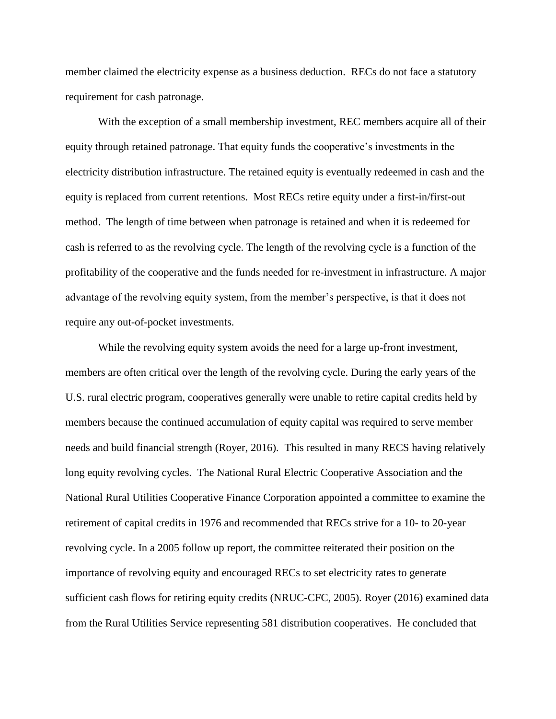member claimed the electricity expense as a business deduction. RECs do not face a statutory requirement for cash patronage.

With the exception of a small membership investment, REC members acquire all of their equity through retained patronage. That equity funds the cooperative's investments in the electricity distribution infrastructure. The retained equity is eventually redeemed in cash and the equity is replaced from current retentions. Most RECs retire equity under a first-in/first-out method. The length of time between when patronage is retained and when it is redeemed for cash is referred to as the revolving cycle. The length of the revolving cycle is a function of the profitability of the cooperative and the funds needed for re-investment in infrastructure. A major advantage of the revolving equity system, from the member's perspective, is that it does not require any out-of-pocket investments.

While the revolving equity system avoids the need for a large up-front investment, members are often critical over the length of the revolving cycle. During the early years of the U.S. rural electric program, cooperatives generally were unable to retire capital credits held by members because the continued accumulation of equity capital was required to serve member needs and build financial strength (Royer, 2016). This resulted in many RECS having relatively long equity revolving cycles. The National Rural Electric Cooperative Association and the National Rural Utilities Cooperative Finance Corporation appointed a committee to examine the retirement of capital credits in 1976 and recommended that RECs strive for a 10- to 20-year revolving cycle. In a 2005 follow up report, the committee reiterated their position on the importance of revolving equity and encouraged RECs to set electricity rates to generate sufficient cash flows for retiring equity credits (NRUC-CFC, 2005). Royer (2016) examined data from the Rural Utilities Service representing 581 distribution cooperatives. He concluded that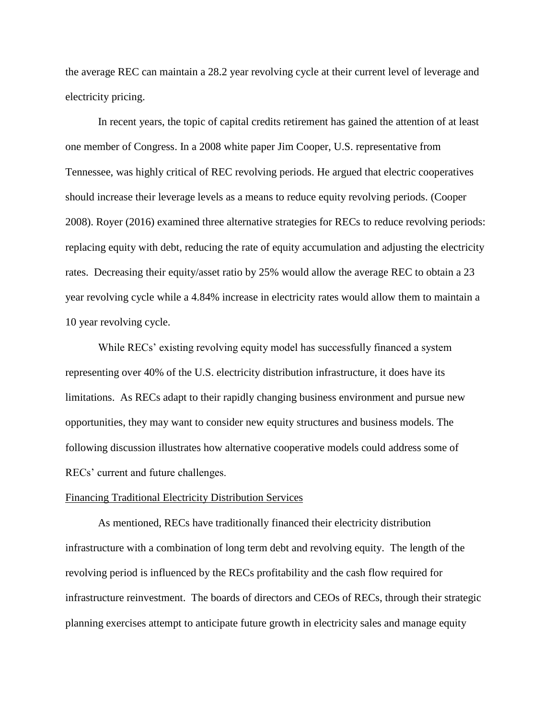the average REC can maintain a 28.2 year revolving cycle at their current level of leverage and electricity pricing.

In recent years, the topic of capital credits retirement has gained the attention of at least one member of Congress. In a 2008 white paper Jim Cooper, U.S. representative from Tennessee, was highly critical of REC revolving periods. He argued that electric cooperatives should increase their leverage levels as a means to reduce equity revolving periods. (Cooper 2008). Royer (2016) examined three alternative strategies for RECs to reduce revolving periods: replacing equity with debt, reducing the rate of equity accumulation and adjusting the electricity rates. Decreasing their equity/asset ratio by 25% would allow the average REC to obtain a 23 year revolving cycle while a 4.84% increase in electricity rates would allow them to maintain a 10 year revolving cycle.

While RECs' existing revolving equity model has successfully financed a system representing over 40% of the U.S. electricity distribution infrastructure, it does have its limitations. As RECs adapt to their rapidly changing business environment and pursue new opportunities, they may want to consider new equity structures and business models. The following discussion illustrates how alternative cooperative models could address some of RECs' current and future challenges.

#### Financing Traditional Electricity Distribution Services

As mentioned, RECs have traditionally financed their electricity distribution infrastructure with a combination of long term debt and revolving equity. The length of the revolving period is influenced by the RECs profitability and the cash flow required for infrastructure reinvestment. The boards of directors and CEOs of RECs, through their strategic planning exercises attempt to anticipate future growth in electricity sales and manage equity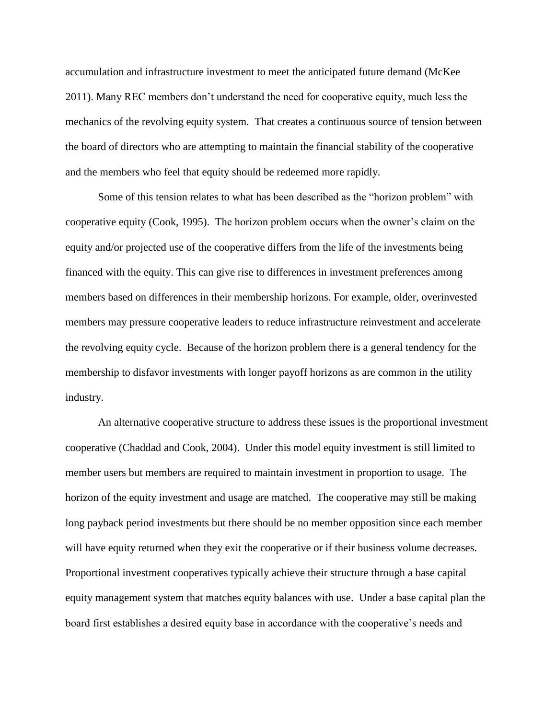accumulation and infrastructure investment to meet the anticipated future demand (McKee 2011). Many REC members don't understand the need for cooperative equity, much less the mechanics of the revolving equity system. That creates a continuous source of tension between the board of directors who are attempting to maintain the financial stability of the cooperative and the members who feel that equity should be redeemed more rapidly.

Some of this tension relates to what has been described as the "horizon problem" with cooperative equity (Cook, 1995). The horizon problem occurs when the owner's claim on the equity and/or projected use of the cooperative differs from the life of the investments being financed with the equity. This can give rise to differences in investment preferences among members based on differences in their membership horizons. For example, older, overinvested members may pressure cooperative leaders to reduce infrastructure reinvestment and accelerate the revolving equity cycle. Because of the horizon problem there is a general tendency for the membership to disfavor investments with longer payoff horizons as are common in the utility industry.

An alternative cooperative structure to address these issues is the proportional investment cooperative (Chaddad and Cook, 2004). Under this model equity investment is still limited to member users but members are required to maintain investment in proportion to usage. The horizon of the equity investment and usage are matched. The cooperative may still be making long payback period investments but there should be no member opposition since each member will have equity returned when they exit the cooperative or if their business volume decreases. Proportional investment cooperatives typically achieve their structure through a base capital equity management system that matches equity balances with use. Under a base capital plan the board first establishes a desired equity base in accordance with the cooperative's needs and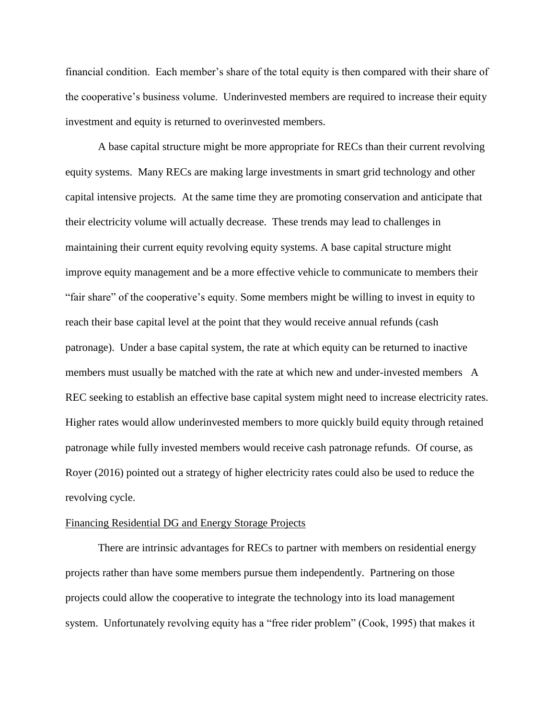financial condition. Each member's share of the total equity is then compared with their share of the cooperative's business volume. Underinvested members are required to increase their equity investment and equity is returned to overinvested members.

A base capital structure might be more appropriate for RECs than their current revolving equity systems. Many RECs are making large investments in smart grid technology and other capital intensive projects. At the same time they are promoting conservation and anticipate that their electricity volume will actually decrease. These trends may lead to challenges in maintaining their current equity revolving equity systems. A base capital structure might improve equity management and be a more effective vehicle to communicate to members their "fair share" of the cooperative's equity. Some members might be willing to invest in equity to reach their base capital level at the point that they would receive annual refunds (cash patronage). Under a base capital system, the rate at which equity can be returned to inactive members must usually be matched with the rate at which new and under-invested members A REC seeking to establish an effective base capital system might need to increase electricity rates. Higher rates would allow underinvested members to more quickly build equity through retained patronage while fully invested members would receive cash patronage refunds. Of course, as Royer (2016) pointed out a strategy of higher electricity rates could also be used to reduce the revolving cycle.

### Financing Residential DG and Energy Storage Projects

There are intrinsic advantages for RECs to partner with members on residential energy projects rather than have some members pursue them independently. Partnering on those projects could allow the cooperative to integrate the technology into its load management system. Unfortunately revolving equity has a "free rider problem" (Cook, 1995) that makes it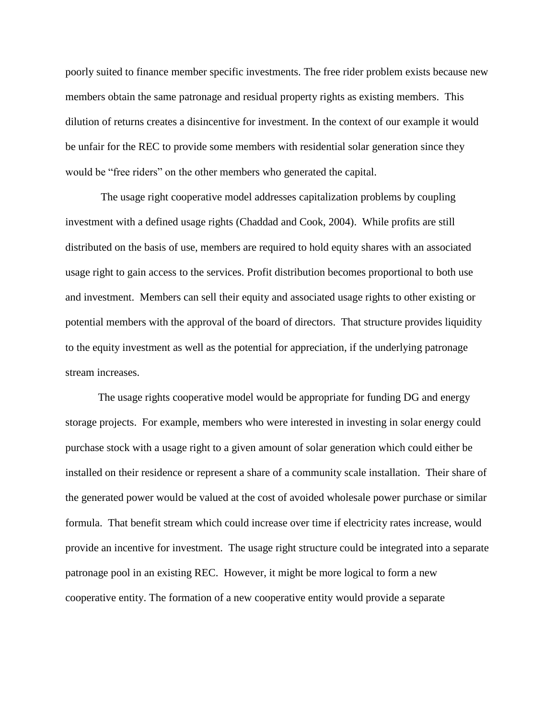poorly suited to finance member specific investments. The free rider problem exists because new members obtain the same patronage and residual property rights as existing members. This dilution of returns creates a disincentive for investment. In the context of our example it would be unfair for the REC to provide some members with residential solar generation since they would be "free riders" on the other members who generated the capital.

The usage right cooperative model addresses capitalization problems by coupling investment with a defined usage rights (Chaddad and Cook, 2004). While profits are still distributed on the basis of use, members are required to hold equity shares with an associated usage right to gain access to the services. Profit distribution becomes proportional to both use and investment. Members can sell their equity and associated usage rights to other existing or potential members with the approval of the board of directors. That structure provides liquidity to the equity investment as well as the potential for appreciation, if the underlying patronage stream increases.

The usage rights cooperative model would be appropriate for funding DG and energy storage projects. For example, members who were interested in investing in solar energy could purchase stock with a usage right to a given amount of solar generation which could either be installed on their residence or represent a share of a community scale installation. Their share of the generated power would be valued at the cost of avoided wholesale power purchase or similar formula. That benefit stream which could increase over time if electricity rates increase, would provide an incentive for investment. The usage right structure could be integrated into a separate patronage pool in an existing REC. However, it might be more logical to form a new cooperative entity. The formation of a new cooperative entity would provide a separate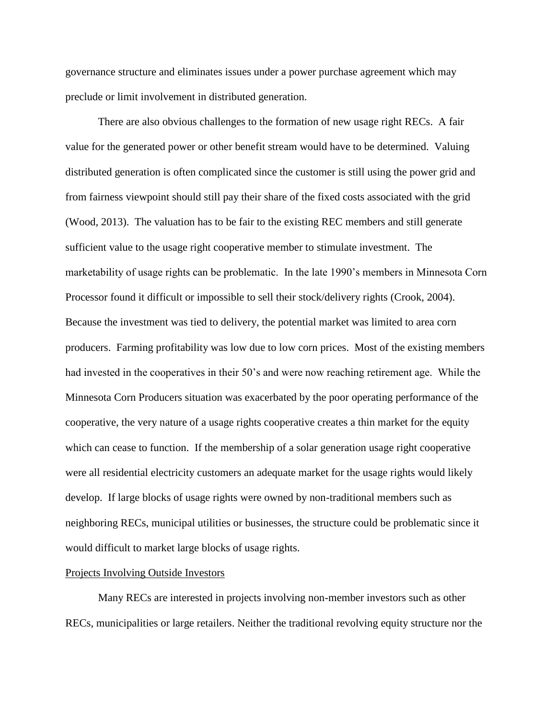governance structure and eliminates issues under a power purchase agreement which may preclude or limit involvement in distributed generation.

There are also obvious challenges to the formation of new usage right RECs. A fair value for the generated power or other benefit stream would have to be determined. Valuing distributed generation is often complicated since the customer is still using the power grid and from fairness viewpoint should still pay their share of the fixed costs associated with the grid (Wood, 2013). The valuation has to be fair to the existing REC members and still generate sufficient value to the usage right cooperative member to stimulate investment. The marketability of usage rights can be problematic. In the late 1990's members in Minnesota Corn Processor found it difficult or impossible to sell their stock/delivery rights (Crook, 2004). Because the investment was tied to delivery, the potential market was limited to area corn producers. Farming profitability was low due to low corn prices. Most of the existing members had invested in the cooperatives in their 50's and were now reaching retirement age. While the Minnesota Corn Producers situation was exacerbated by the poor operating performance of the cooperative, the very nature of a usage rights cooperative creates a thin market for the equity which can cease to function. If the membership of a solar generation usage right cooperative were all residential electricity customers an adequate market for the usage rights would likely develop. If large blocks of usage rights were owned by non-traditional members such as neighboring RECs, municipal utilities or businesses, the structure could be problematic since it would difficult to market large blocks of usage rights.

# Projects Involving Outside Investors

Many RECs are interested in projects involving non-member investors such as other RECs, municipalities or large retailers. Neither the traditional revolving equity structure nor the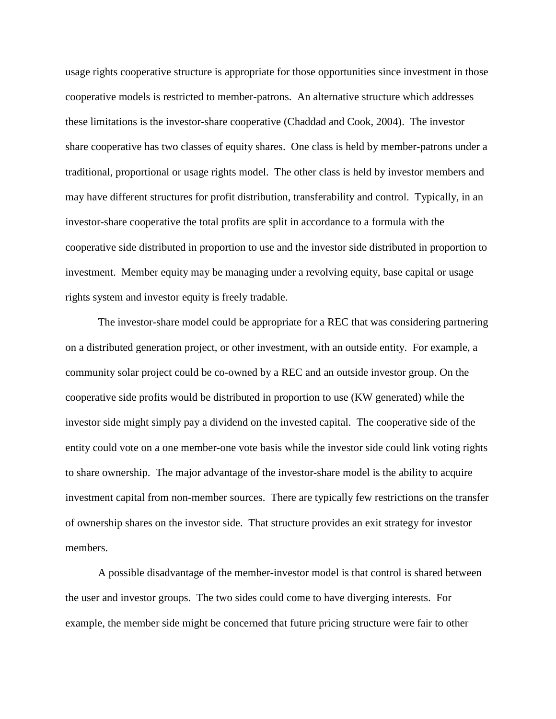usage rights cooperative structure is appropriate for those opportunities since investment in those cooperative models is restricted to member-patrons. An alternative structure which addresses these limitations is the investor-share cooperative (Chaddad and Cook, 2004). The investor share cooperative has two classes of equity shares. One class is held by member-patrons under a traditional, proportional or usage rights model. The other class is held by investor members and may have different structures for profit distribution, transferability and control. Typically, in an investor-share cooperative the total profits are split in accordance to a formula with the cooperative side distributed in proportion to use and the investor side distributed in proportion to investment. Member equity may be managing under a revolving equity, base capital or usage rights system and investor equity is freely tradable.

The investor-share model could be appropriate for a REC that was considering partnering on a distributed generation project, or other investment, with an outside entity. For example, a community solar project could be co-owned by a REC and an outside investor group. On the cooperative side profits would be distributed in proportion to use (KW generated) while the investor side might simply pay a dividend on the invested capital. The cooperative side of the entity could vote on a one member-one vote basis while the investor side could link voting rights to share ownership. The major advantage of the investor-share model is the ability to acquire investment capital from non-member sources. There are typically few restrictions on the transfer of ownership shares on the investor side. That structure provides an exit strategy for investor members.

A possible disadvantage of the member-investor model is that control is shared between the user and investor groups. The two sides could come to have diverging interests. For example, the member side might be concerned that future pricing structure were fair to other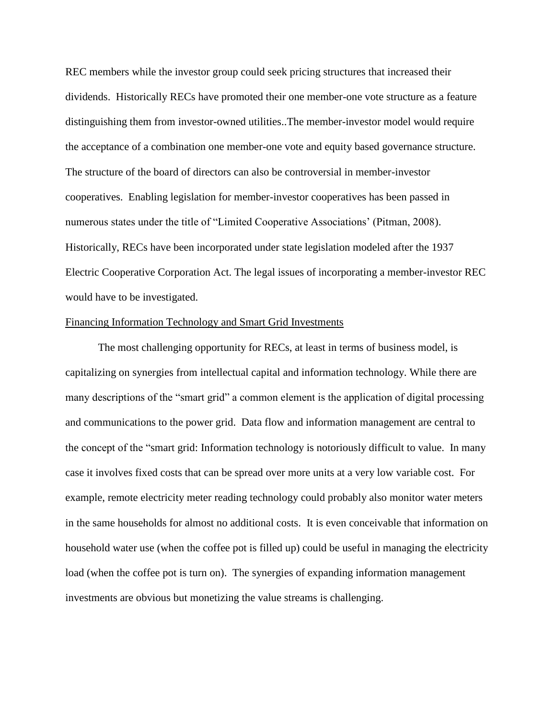REC members while the investor group could seek pricing structures that increased their dividends. Historically RECs have promoted their one member-one vote structure as a feature distinguishing them from investor-owned utilities..The member-investor model would require the acceptance of a combination one member-one vote and equity based governance structure. The structure of the board of directors can also be controversial in member-investor cooperatives. Enabling legislation for member-investor cooperatives has been passed in numerous states under the title of "Limited Cooperative Associations' (Pitman, 2008). Historically, RECs have been incorporated under state legislation modeled after the 1937 Electric Cooperative Corporation Act. The legal issues of incorporating a member-investor REC would have to be investigated.

## Financing Information Technology and Smart Grid Investments

The most challenging opportunity for RECs, at least in terms of business model, is capitalizing on synergies from intellectual capital and information technology. While there are many descriptions of the "smart grid" a common element is the application of digital processing and communications to the power grid. Data flow and [information management](https://en.wikipedia.org/wiki/Information_management) are central to the concept of the "smart grid: Information technology is notoriously difficult to value. In many case it involves fixed costs that can be spread over more units at a very low variable cost. For example, remote electricity meter reading technology could probably also monitor water meters in the same households for almost no additional costs. It is even conceivable that information on household water use (when the coffee pot is filled up) could be useful in managing the electricity load (when the coffee pot is turn on). The synergies of expanding information management investments are obvious but monetizing the value streams is challenging.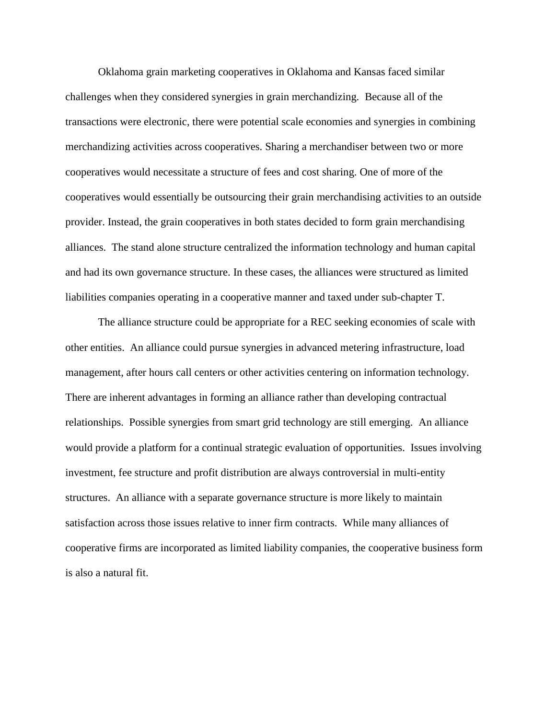Oklahoma grain marketing cooperatives in Oklahoma and Kansas faced similar challenges when they considered synergies in grain merchandizing. Because all of the transactions were electronic, there were potential scale economies and synergies in combining merchandizing activities across cooperatives. Sharing a merchandiser between two or more cooperatives would necessitate a structure of fees and cost sharing. One of more of the cooperatives would essentially be outsourcing their grain merchandising activities to an outside provider. Instead, the grain cooperatives in both states decided to form grain merchandising alliances. The stand alone structure centralized the information technology and human capital and had its own governance structure. In these cases, the alliances were structured as limited liabilities companies operating in a cooperative manner and taxed under sub-chapter T.

The alliance structure could be appropriate for a REC seeking economies of scale with other entities. An alliance could pursue synergies in advanced metering infrastructure, load management, after hours call centers or other activities centering on information technology. There are inherent advantages in forming an alliance rather than developing contractual relationships. Possible synergies from smart grid technology are still emerging. An alliance would provide a platform for a continual strategic evaluation of opportunities. Issues involving investment, fee structure and profit distribution are always controversial in multi-entity structures. An alliance with a separate governance structure is more likely to maintain satisfaction across those issues relative to inner firm contracts. While many alliances of cooperative firms are incorporated as limited liability companies, the cooperative business form is also a natural fit.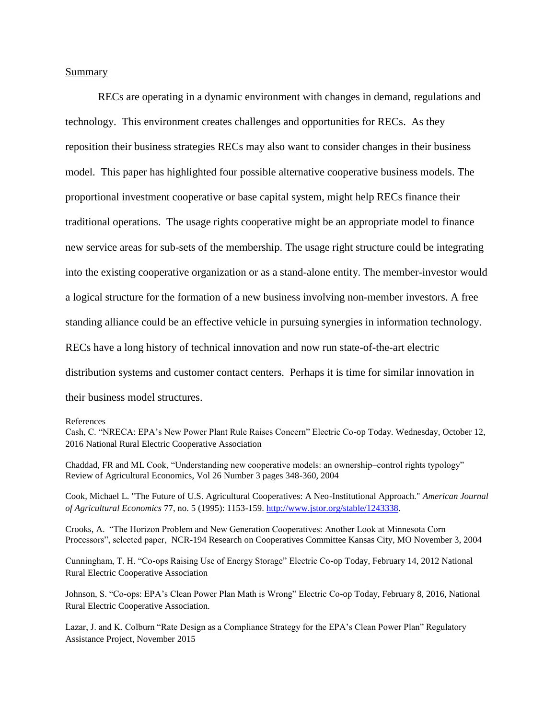Summary

RECs are operating in a dynamic environment with changes in demand, regulations and technology. This environment creates challenges and opportunities for RECs. As they reposition their business strategies RECs may also want to consider changes in their business model. This paper has highlighted four possible alternative cooperative business models. The proportional investment cooperative or base capital system, might help RECs finance their traditional operations. The usage rights cooperative might be an appropriate model to finance new service areas for sub-sets of the membership. The usage right structure could be integrating into the existing cooperative organization or as a stand-alone entity. The member-investor would a logical structure for the formation of a new business involving non-member investors. A free standing alliance could be an effective vehicle in pursuing synergies in information technology. RECs have a long history of technical innovation and now run state-of-the-art electric distribution systems and customer contact centers. Perhaps it is time for similar innovation in their business model structures.

References

Cook, Michael L. "The Future of U.S. Agricultural Cooperatives: A Neo-Institutional Approach." *American Journal of Agricultural Economics* 77, no. 5 (1995): 1153-159. [http://www.jstor.org/stable/1243338.](http://www.jstor.org/stable/1243338)

Crooks, A. "The Horizon Problem and New Generation Cooperatives: Another Look at Minnesota Corn Processors", selected paper, NCR-194 Research on Cooperatives Committee Kansas City, MO November 3, 2004

Cunningham, T. H. "Co-ops Raising Use of Energy Storage" Electric Co-op Today, February 14, 2012 National Rural Electric Cooperative Association

Johnson, S. "Co-ops: EPA's Clean Power Plan Math is Wrong" Electric Co-op Today, February 8, 2016, National Rural Electric Cooperative Association.

Lazar, J. and K. Colburn "Rate Design as a Compliance Strategy for the EPA's Clean Power Plan" Regulatory Assistance Project, November 2015

Cash, C. "NRECA: EPA's New Power Plant Rule Raises Concern" Electric Co-op Today. Wednesday, October 12, 2016 National Rural Electric Cooperative Association

Chaddad, FR and ML Cook, "Understanding new cooperative models: an ownership–control rights typology" Review of Agricultural Economics, Vol 26 Number 3 pages 348-360, 2004